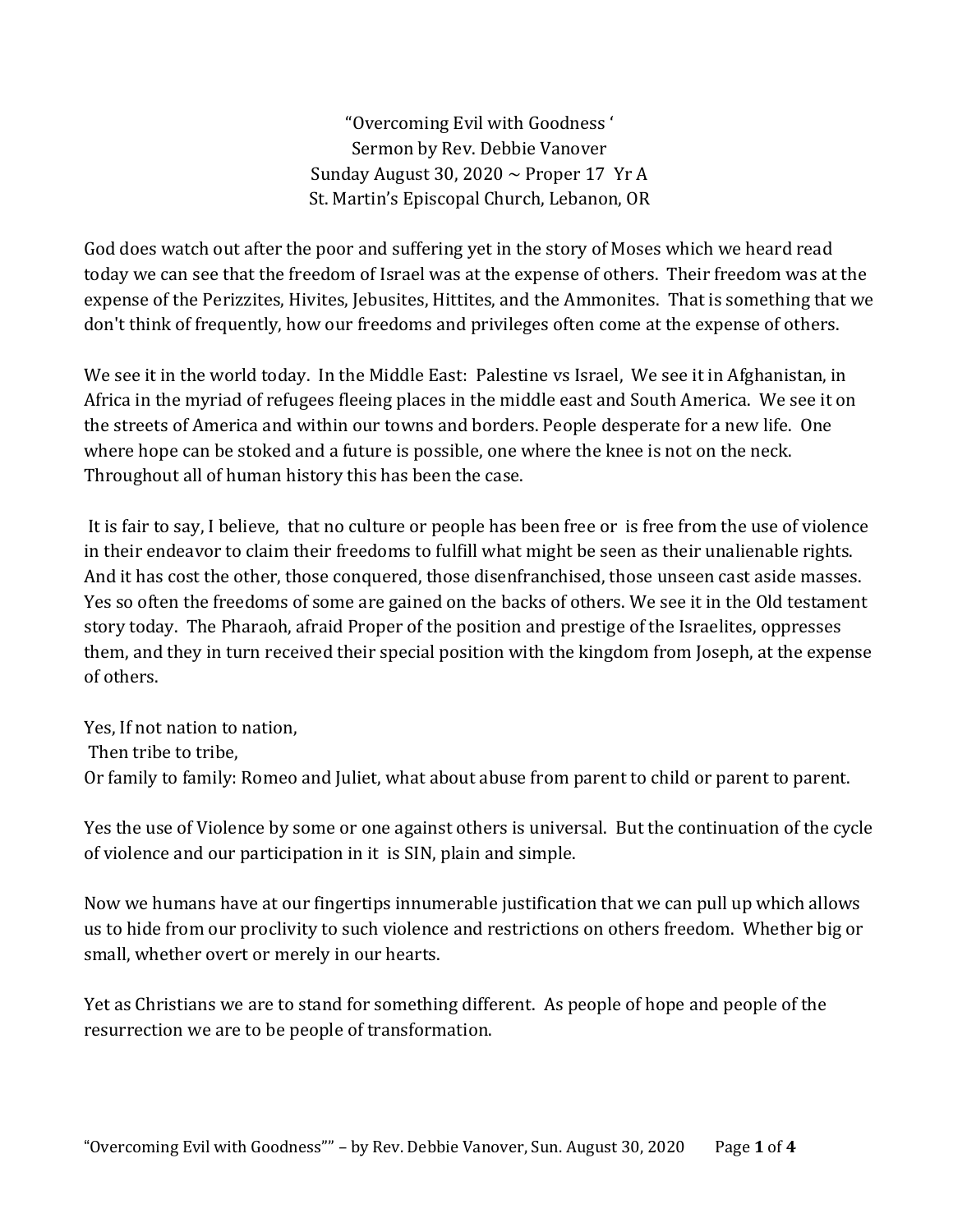"Overcoming Evil with Goodness ' Sermon by Rev. Debbie Vanover Sunday August 30, 2020  $\sim$  Proper 17 Yr A St. Martin's Episcopal Church, Lebanon, OR

God does watch out after the poor and suffering yet in the story of Moses which we heard read today we can see that the freedom of Israel was at the expense of others. Their freedom was at the expense of the Perizzites, Hivites, Jebusites, Hittites, and the Ammonites. That is something that we don't think of frequently, how our freedoms and privileges often come at the expense of others.

We see it in the world today. In the Middle East: Palestine vs Israel, We see it in Afghanistan, in Africa in the myriad of refugees fleeing places in the middle east and South America. We see it on the streets of America and within our towns and borders. People desperate for a new life. One where hope can be stoked and a future is possible, one where the knee is not on the neck. Throughout all of human history this has been the case.

It is fair to say, I believe, that no culture or people has been free or is free from the use of violence in their endeavor to claim their freedoms to fulfill what might be seen as their unalienable rights. And it has cost the other, those conquered, those disenfranchised, those unseen cast aside masses. Yes so often the freedoms of some are gained on the backs of others. We see it in the Old testament story today. The Pharaoh, afraid Proper of the position and prestige of the Israelites, oppresses them, and they in turn received their special position with the kingdom from Joseph, at the expense of others.

Yes, If not nation to nation, Then tribe to tribe, Or family to family: Romeo and Juliet, what about abuse from parent to child or parent to parent.

Yes the use of Violence by some or one against others is universal. But the continuation of the cycle of violence and our participation in it is SIN, plain and simple.

Now we humans have at our fingertips innumerable justification that we can pull up which allows us to hide from our proclivity to such violence and restrictions on others freedom. Whether big or small, whether overt or merely in our hearts.

Yet as Christians we are to stand for something different. As people of hope and people of the resurrection we are to be people of transformation.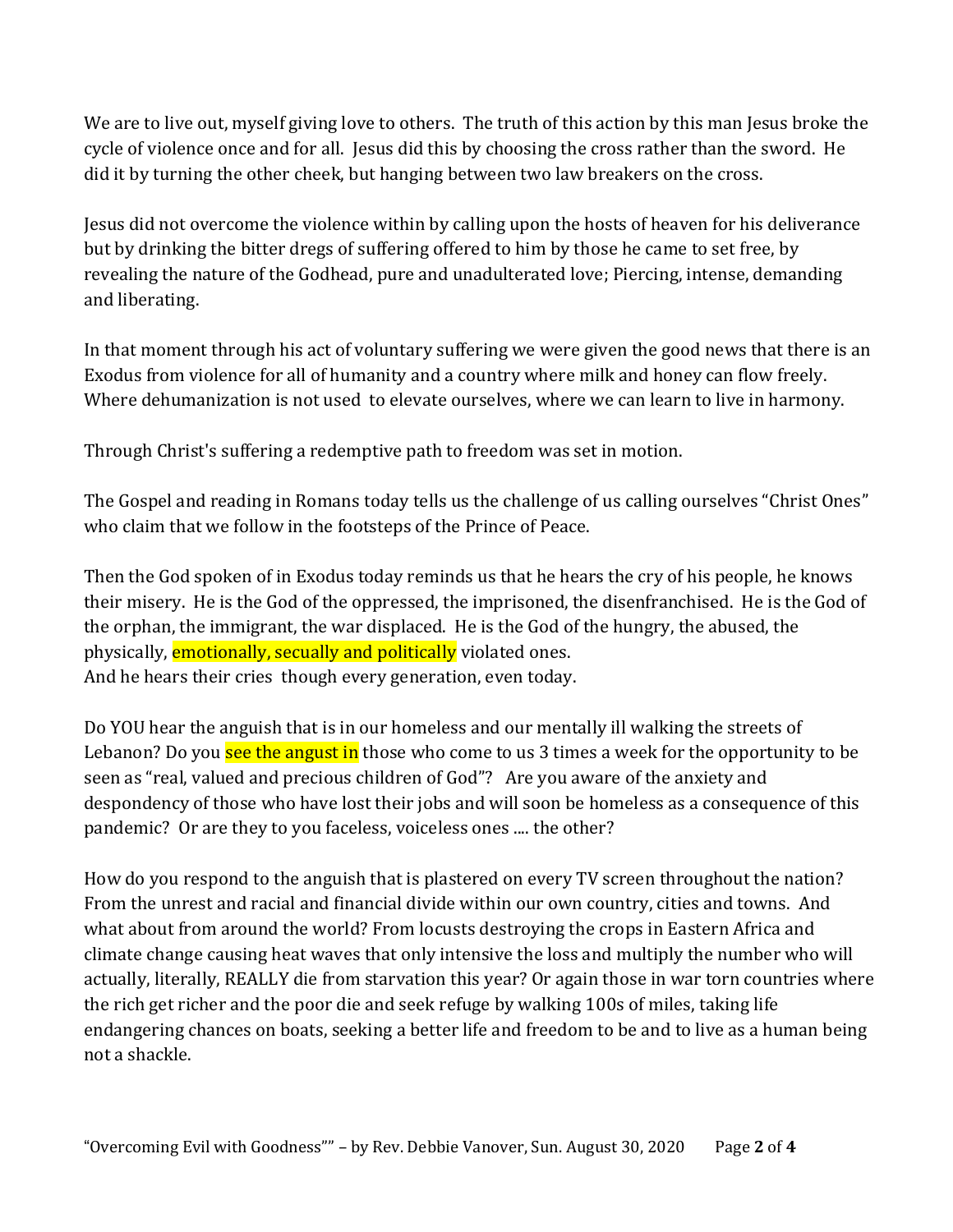We are to live out, myself giving love to others. The truth of this action by this man Jesus broke the cycle of violence once and for all. Jesus did this by choosing the cross rather than the sword. He did it by turning the other cheek, but hanging between two law breakers on the cross.

Jesus did not overcome the violence within by calling upon the hosts of heaven for his deliverance but by drinking the bitter dregs of suffering offered to him by those he came to set free, by revealing the nature of the Godhead, pure and unadulterated love; Piercing, intense, demanding and liberating.

In that moment through his act of voluntary suffering we were given the good news that there is an Exodus from violence for all of humanity and a country where milk and honey can flow freely. Where dehumanization is not used to elevate ourselves, where we can learn to live in harmony.

Through Christ's suffering a redemptive path to freedom was set in motion.

The Gospel and reading in Romans today tells us the challenge of us calling ourselves "Christ Ones" who claim that we follow in the footsteps of the Prince of Peace.

Then the God spoken of in Exodus today reminds us that he hears the cry of his people, he knows their misery. He is the God of the oppressed, the imprisoned, the disenfranchised. He is the God of the orphan, the immigrant, the war displaced. He is the God of the hungry, the abused, the physically, **emotionally, secually and politically** violated ones. And he hears their cries though every generation, even today.

Do YOU hear the anguish that is in our homeless and our mentally ill walking the streets of Lebanon? Do you see the angust in those who come to us 3 times a week for the opportunity to be seen as "real, valued and precious children of God"? Are you aware of the anxiety and despondency of those who have lost their jobs and will soon be homeless as a consequence of this pandemic? Or are they to you faceless, voiceless ones .... the other?

How do you respond to the anguish that is plastered on every TV screen throughout the nation? From the unrest and racial and financial divide within our own country, cities and towns. And what about from around the world? From locusts destroying the crops in Eastern Africa and climate change causing heat waves that only intensive the loss and multiply the number who will actually, literally, REALLY die from starvation this year? Or again those in war torn countries where the rich get richer and the poor die and seek refuge by walking 100s of miles, taking life endangering chances on boats, seeking a better life and freedom to be and to live as a human being not a shackle.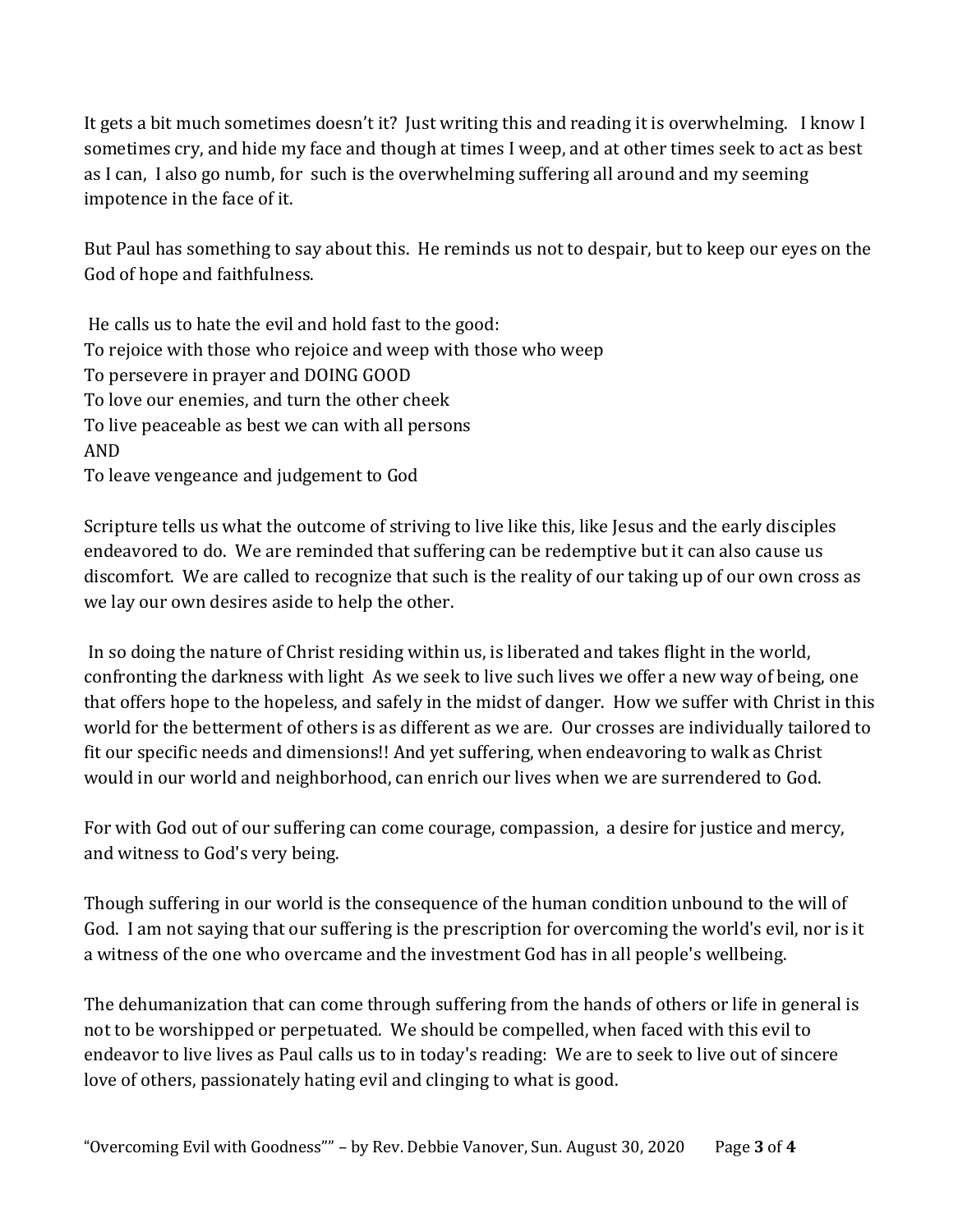It gets a bit much sometimes doesn't it? Just writing this and reading it is overwhelming. I know I sometimes cry, and hide my face and though at times I weep, and at other times seek to act as best as I can, I also go numb, for such is the overwhelming suffering all around and my seeming impotence in the face of it.

But Paul has something to say about this. He reminds us not to despair, but to keep our eyes on the God of hope and faithfulness.

He calls us to hate the evil and hold fast to the good: To rejoice with those who rejoice and weep with those who weep To persevere in prayer and DOING GOOD To love our enemies, and turn the other cheek To live peaceable as best we can with all persons AND To leave vengeance and judgement to God

Scripture tells us what the outcome of striving to live like this, like Jesus and the early disciples endeavored to do. We are reminded that suffering can be redemptive but it can also cause us discomfort. We are called to recognize that such is the reality of our taking up of our own cross as we lay our own desires aside to help the other.

In so doing the nature of Christ residing within us, is liberated and takes flight in the world, confronting the darkness with light As we seek to live such lives we offer a new way of being, one that offers hope to the hopeless, and safely in the midst of danger. How we suffer with Christ in this world for the betterment of others is as different as we are. Our crosses are individually tailored to fit our specific needs and dimensions!! And yet suffering, when endeavoring to walk as Christ would in our world and neighborhood, can enrich our lives when we are surrendered to God.

For with God out of our suffering can come courage, compassion, a desire for justice and mercy, and witness to God's very being.

Though suffering in our world is the consequence of the human condition unbound to the will of God. I am not saying that our suffering is the prescription for overcoming the world's evil, nor is it a witness of the one who overcame and the investment God has in all people's wellbeing.

The dehumanization that can come through suffering from the hands of others or life in general is not to be worshipped or perpetuated. We should be compelled, when faced with this evil to endeavor to live lives as Paul calls us to in today's reading: We are to seek to live out of sincere love of others, passionately hating evil and clinging to what is good.